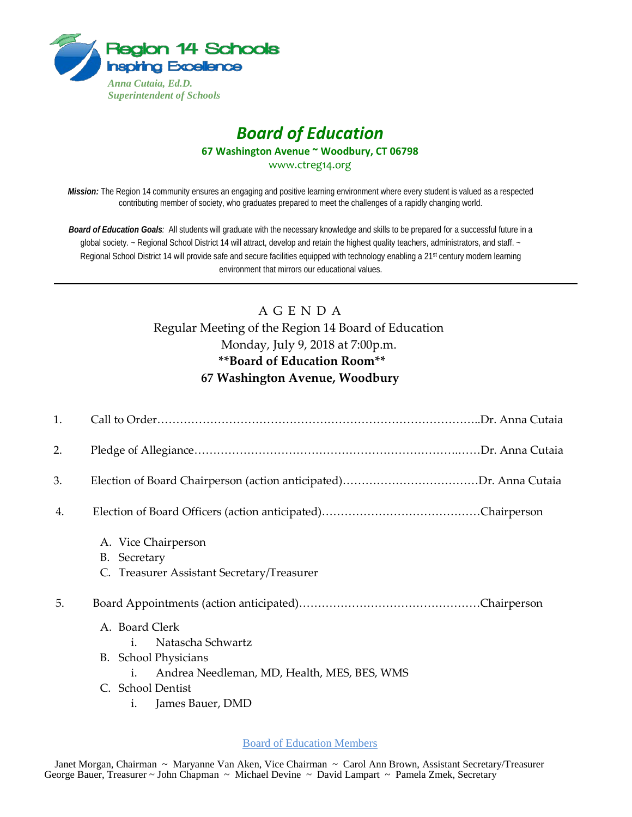

# *Board of Education* **67 Washington Avenue ~ Woodbury, CT 06798** www.ctreg14.org

*Mission:* The Region 14 community ensures an engaging and positive learning environment where every student is valued as a respected contributing member of society, who graduates prepared to meet the challenges of a rapidly changing world.

*Board of Education Goals:* All students will graduate with the necessary knowledge and skills to be prepared for a successful future in a global society. ~ Regional School District 14 will attract, develop and retain the highest quality teachers, administrators, and staff. ~ Regional School District 14 will provide safe and secure facilities equipped with technology enabling a 21<sup>st</sup> century modern learning environment that mirrors our educational values.

# A G E N D A Regular Meeting of the Region 14 Board of Education Monday, July 9, 2018 at 7:00p.m. **\*\*Board of Education Room\*\* 67 Washington Avenue, Woodbury**

| 1. |                                                                                                                                                                                          |  |
|----|------------------------------------------------------------------------------------------------------------------------------------------------------------------------------------------|--|
| 2. |                                                                                                                                                                                          |  |
| 3. |                                                                                                                                                                                          |  |
| 4. |                                                                                                                                                                                          |  |
|    | A. Vice Chairperson<br>B. Secretary<br>C. Treasurer Assistant Secretary/Treasurer                                                                                                        |  |
| 5. |                                                                                                                                                                                          |  |
|    | A. Board Clerk<br>Natascha Schwartz<br>i.<br><b>B.</b> School Physicians<br>Andrea Needleman, MD, Health, MES, BES, WMS<br>$\mathbf{1}$ .<br>C. School Dentist<br>James Bauer, DMD<br>1. |  |

Board of Education Members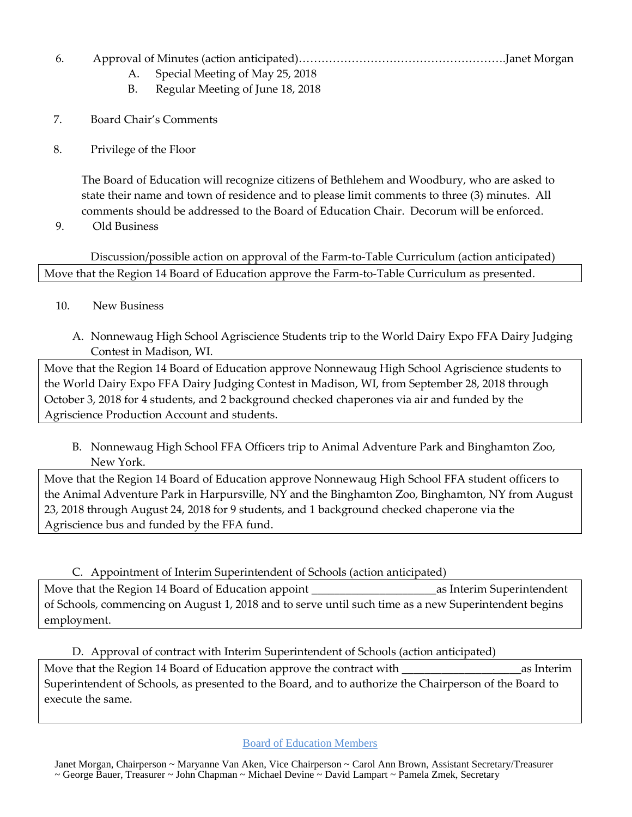### 6. Approval of Minutes (action anticipated)……………………………………………….Janet Morgan

- A. Special Meeting of May 25, 2018
- B. Regular Meeting of June 18, 2018
- 7. Board Chair's Comments
- 8. Privilege of the Floor

The Board of Education will recognize citizens of Bethlehem and Woodbury, who are asked to state their name and town of residence and to please limit comments to three (3) minutes. All comments should be addressed to the Board of Education Chair. Decorum will be enforced.

9. Old Business

Discussion/possible action on approval of the Farm-to-Table Curriculum (action anticipated) Move that the Region 14 Board of Education approve the Farm-to-Table Curriculum as presented.

- 10. New Business
	- A. Nonnewaug High School Agriscience Students trip to the World Dairy Expo FFA Dairy Judging Contest in Madison, WI.

Move that the Region 14 Board of Education approve Nonnewaug High School Agriscience students to the World Dairy Expo FFA Dairy Judging Contest in Madison, WI, from September 28, 2018 through October 3, 2018 for 4 students, and 2 background checked chaperones via air and funded by the Agriscience Production Account and students.

B. Nonnewaug High School FFA Officers trip to Animal Adventure Park and Binghamton Zoo, New York.

Move that the Region 14 Board of Education approve Nonnewaug High School FFA student officers to the Animal Adventure Park in Harpursville, NY and the Binghamton Zoo, Binghamton, NY from August 23, 2018 through August 24, 2018 for 9 students, and 1 background checked chaperone via the Agriscience bus and funded by the FFA fund.

#### C. Appointment of Interim Superintendent of Schools (action anticipated)

Move that the Region 14 Board of Education appoint The Contract as Interim Superintendent of Schools, commencing on August 1, 2018 and to serve until such time as a new Superintendent begins employment.

#### D. Approval of contract with Interim Superintendent of Schools (action anticipated)

Move that the Region 14 Board of Education approve the contract with  $\qquad \qquad \text{as Interm}$ Superintendent of Schools, as presented to the Board, and to authorize the Chairperson of the Board to execute the same.

Board of Education Members

 Janet Morgan, Chairperson ~ Maryanne Van Aken, Vice Chairperson ~ Carol Ann Brown, Assistant Secretary/Treasurer ~ George Bauer, Treasurer ~ John Chapman ~ Michael Devine ~ David Lampart ~ Pamela Zmek, Secretary